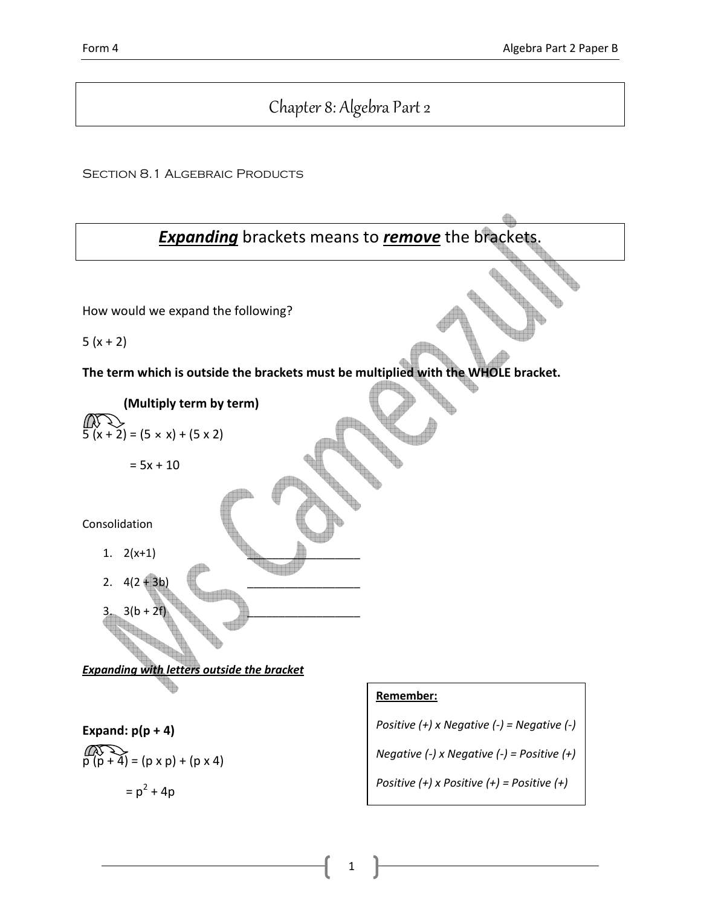# Chapter 8: Algebra Part 2

SECTION 8.1 ALGEBRAIC PRODUCTS

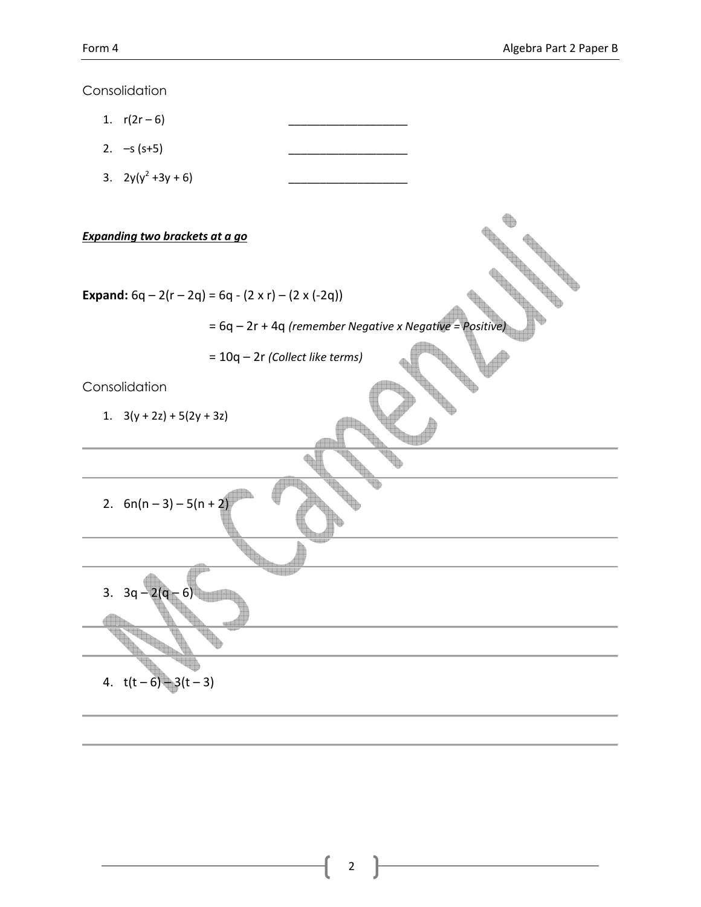Consolidation 1.  $r(2r-6)$ 2.  $- s (s+5)$ 3. 2y(y<sup>2</sup> +3y + 6) \_\_\_\_\_\_\_\_\_\_\_\_\_\_\_\_\_\_\_ Expanding two brackets at a go Expand:  $6q - 2(r - 2q) = 6q - (2 \times r) - (2 \times (-2q))$  $= 6q - 2r + 4q$  (remember Negative x Negative = Positive = 10q – 2r (Collect like terms) Consolidation 1.  $3(y + 2z) + 5(2y + 3z)$ 2.  $6n(n-3)-5(n+2)$ 3888 3.  $3q - 2(q - 6)$ 4.  $t(t-6)-3(t-3)$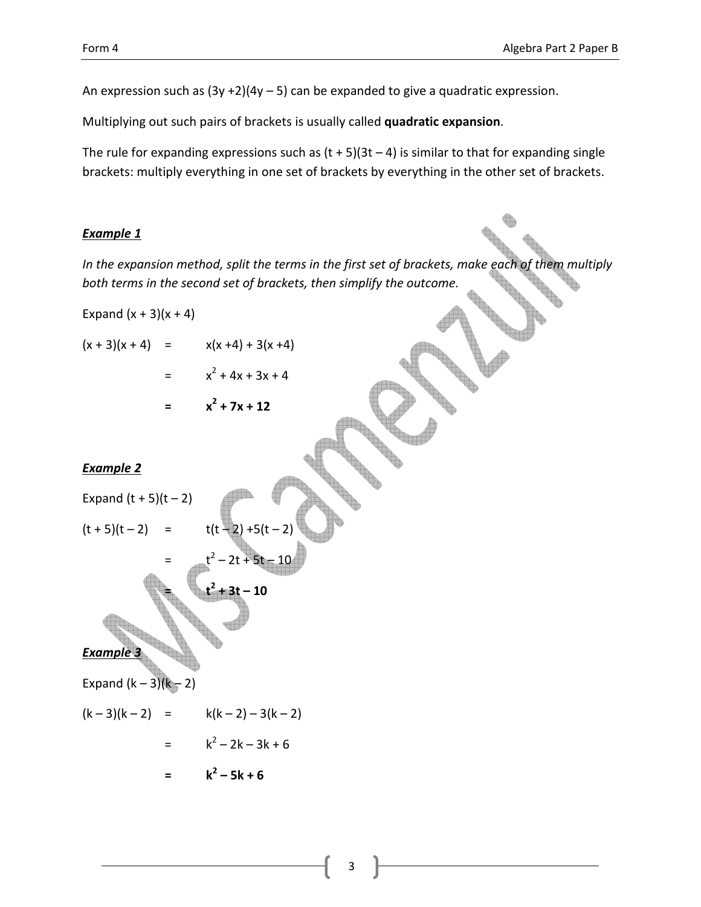An expression such as  $(3y +2)(4y - 5)$  can be expanded to give a quadratic expression.

Multiplying out such pairs of brackets is usually called quadratic expansion.

The rule for expanding expressions such as  $(t + 5)(3t - 4)$  is similar to that for expanding single brackets: multiply everything in one set of brackets by everything in the other set of brackets.

### Example 1

In the expansion method, split the terms in the first set of brackets, make each of them multiply both terms in the second set of brackets, then simplify the outcome.

Expand  $(x + 3)(x + 4)$ 

$$
(x + 3)(x + 4) = x(x + 4) + 3(x + 4)
$$
  
= 
$$
x^2 + 4x + 3x + 4
$$

$$
= x^2 + 7x + 12
$$

### Example 2

Expand (t + 5)(t - 2)

\n
$$
(t + 5)(t - 2) = t(t - 2) + 5(t - 2)
$$
\n
$$
= t^{2} - 2t + 5t - 10
$$
\n
$$
t^{2} + 3t - 10
$$

Example 3

Expand  $(k - 3)(k - 2)$ 

$$
(k-3)(k-2) = k(k-2) - 3(k-2)
$$
  
=  $k^2 - 2k - 3k + 6$ 

$$
= k^2 - 5k + 6
$$

$$
\mathsf 3
$$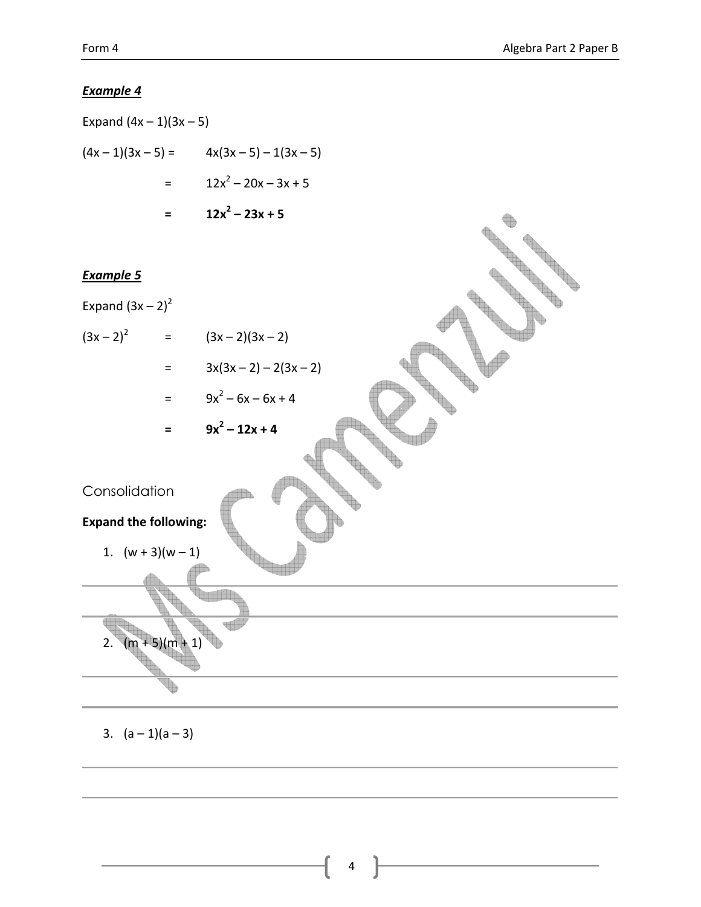### Example 4

Expand  $(4x - 1)(3x - 5)$  $(4x-1)(3x-5) =$   $4x(3x-5)-1(3x-5)$  $=$   $12x^2 - 20x - 3x + 5$  $=$  12x<sup>2</sup> – 23x + 5

### Example 5



3.  $(a-1)(a-3)$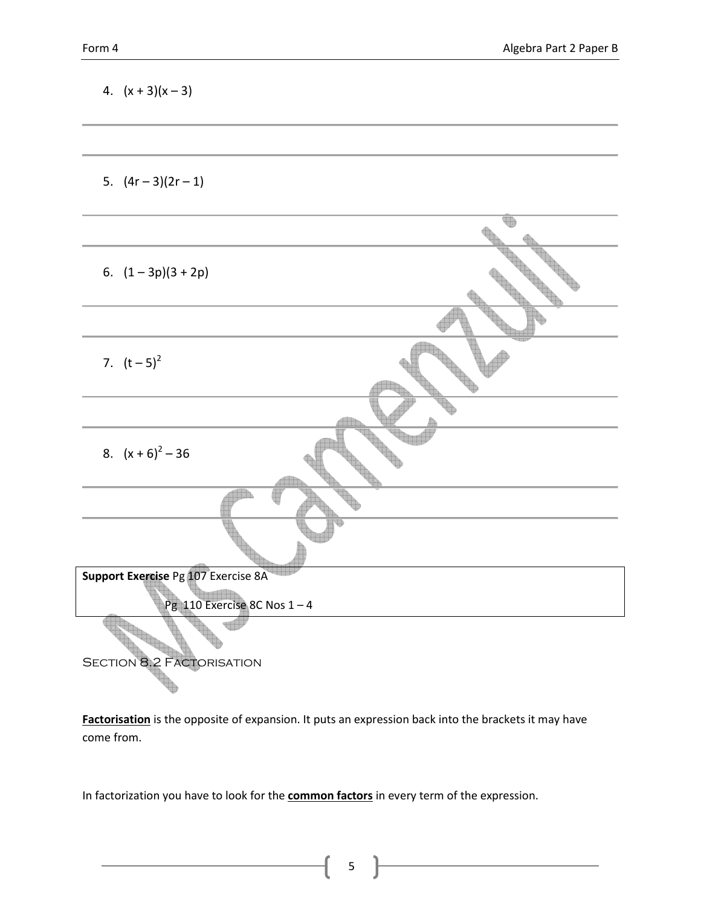| 4. $(x + 3)(x - 3)$                                                   |     |
|-----------------------------------------------------------------------|-----|
|                                                                       |     |
| 5. $(4r-3)(2r-1)$                                                     |     |
|                                                                       | qeb |
| 6. $(1-3p)(3+2p)$                                                     |     |
|                                                                       |     |
| 7. $(t-5)^2$                                                          |     |
|                                                                       |     |
| 8. $(x+6)^2$ – 36                                                     |     |
|                                                                       |     |
|                                                                       |     |
| Support Exercise Pg 107 Exercise 8A<br>Pg 110 Exercise 8C Nos $1 - 4$ |     |
| <b>SECTION 8.2 FACTORISATION</b>                                      |     |

Factorisation is the opposite of expansion. It puts an expression back into the brackets it may have come from.

5

In factorization you have to look for the **common factors** in every term of the expression.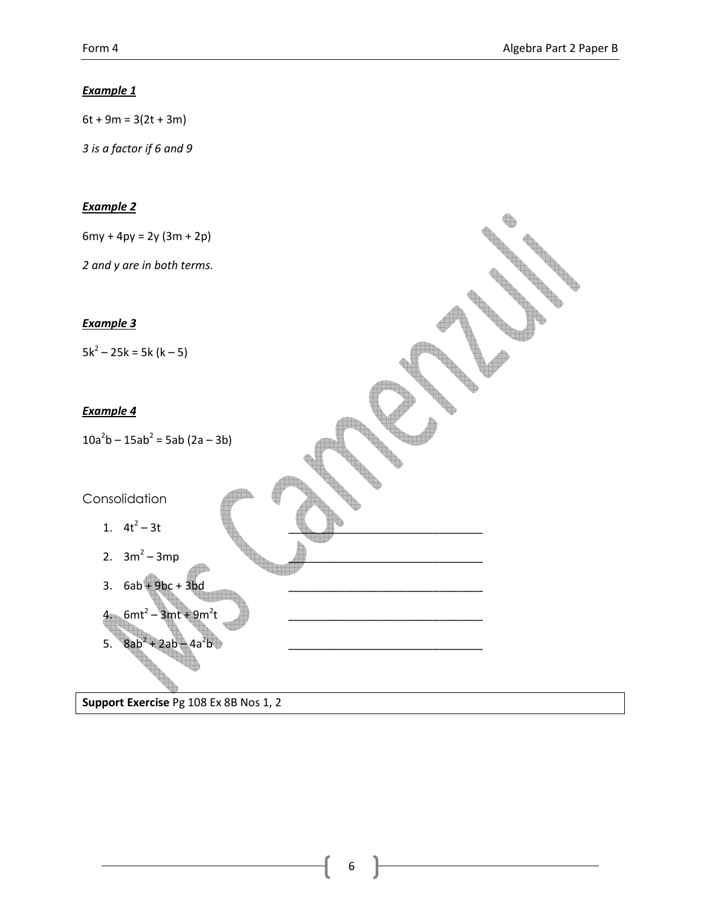### Example 1

 $6t + 9m = 3(2t + 3m)$ 

3 is a factor if 6 and 9

#### Example 2

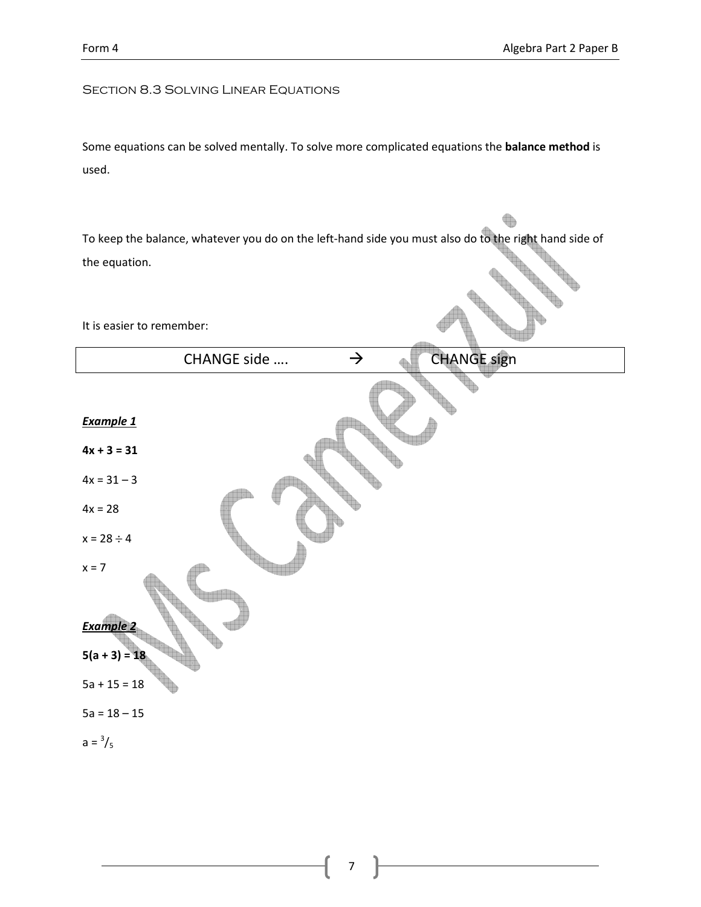$\begin{picture}(220,20) \put(0,0){\line(1,0){10}} \put(15,0){\line(1,0){10}} \put(15,0){\line(1,0){10}} \put(15,0){\line(1,0){10}} \put(15,0){\line(1,0){10}} \put(15,0){\line(1,0){10}} \put(15,0){\line(1,0){10}} \put(15,0){\line(1,0){10}} \put(15,0){\line(1,0){10}} \put(15,0){\line(1,0){10}} \put(15,0){\line(1,0){10}} \put(15,0){\line($ 

### Section 8.3 Solving Linear Equations

Some equations can be solved mentally. To solve more complicated equations the balance method is used.

To keep the balance, whatever you do on the left-hand side you must also do to the right hand side of the equation. CHANGE SIGNATURE

It is easier to remember:

| <b>CHANGE sign</b><br>$\rightarrow$<br>CHANGE side |
|----------------------------------------------------|
|                                                    |
| <b>Example 1</b>                                   |
| $4x + 3 = 31$                                      |
| $4x = 31 - 3$                                      |
| $4x = 28$                                          |
| $x = 28 \div 4$                                    |
| $x = 7$                                            |
| <b>Example 2</b>                                   |
| $5(a + 3) = 18$                                    |
| $5a + 15 = 18$                                     |
| $5a = 18 - 15$                                     |
| $a = \frac{3}{5}$                                  |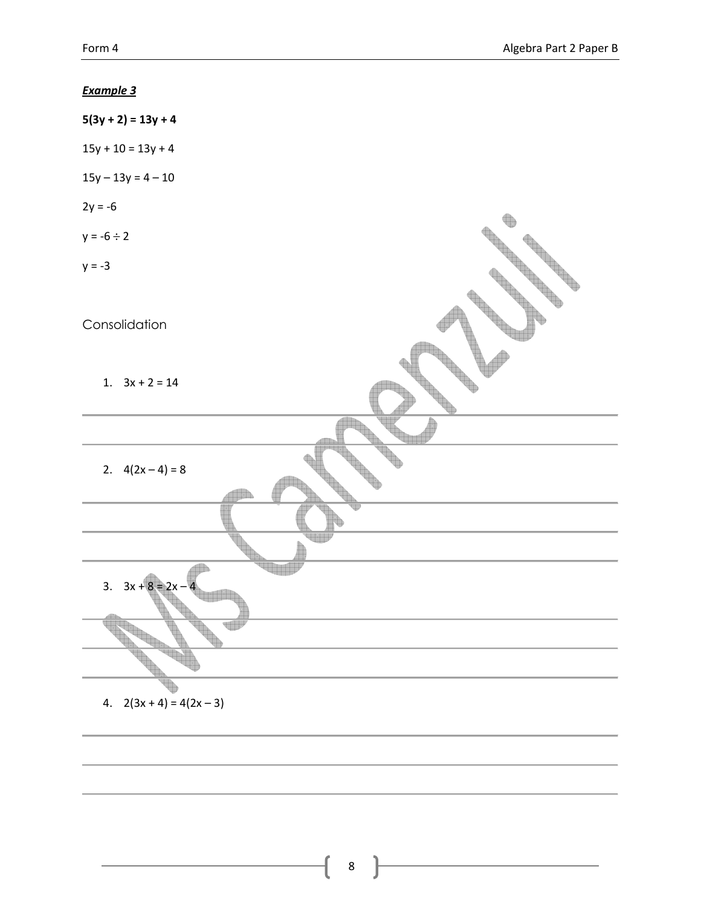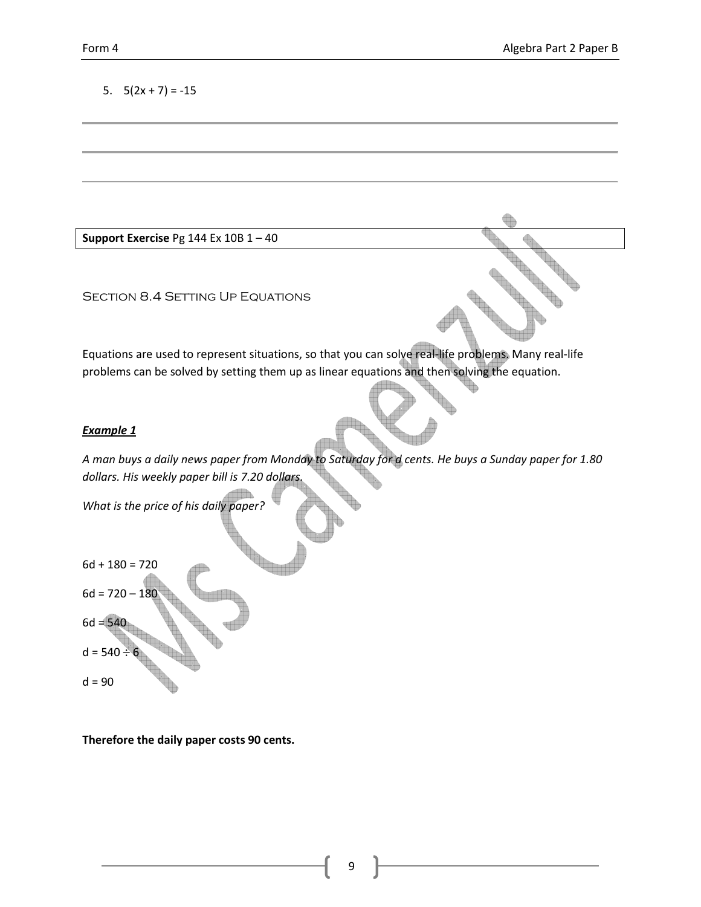### 5.  $5(2x + 7) = -15$

Support Exercise Pg 144 Ex 10B  $1 - 40$ 

SECTION 8.4 SETTING UP EQUATIONS

Equations are used to represent situations, so that you can solve real-life problems. Many real-life problems can be solved by setting them up as linear equations and then solving the equation.

#### Example 1

A man buys a daily news paper from Monday to Saturday for d cents. He buys a Sunday paper for 1.80 dollars. His weekly paper bill is 7.20 dollars.

What is the price of his daily paper?

$$
6d + 180 = 720
$$
  

$$
6d = 720 - 180
$$
  

$$
6d = 540
$$
  

$$
d = 540 \div 6
$$
  

$$
d = 90
$$

Therefore the daily paper costs 90 cents.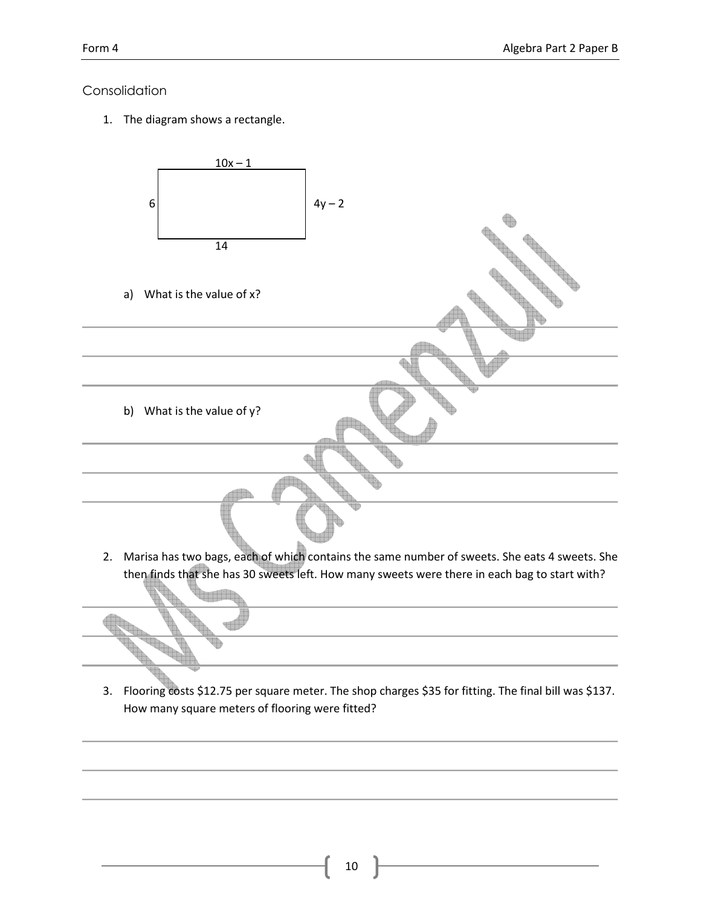### Consolidation

1. The diagram shows a rectangle.



How many square meters of flooring were fitted?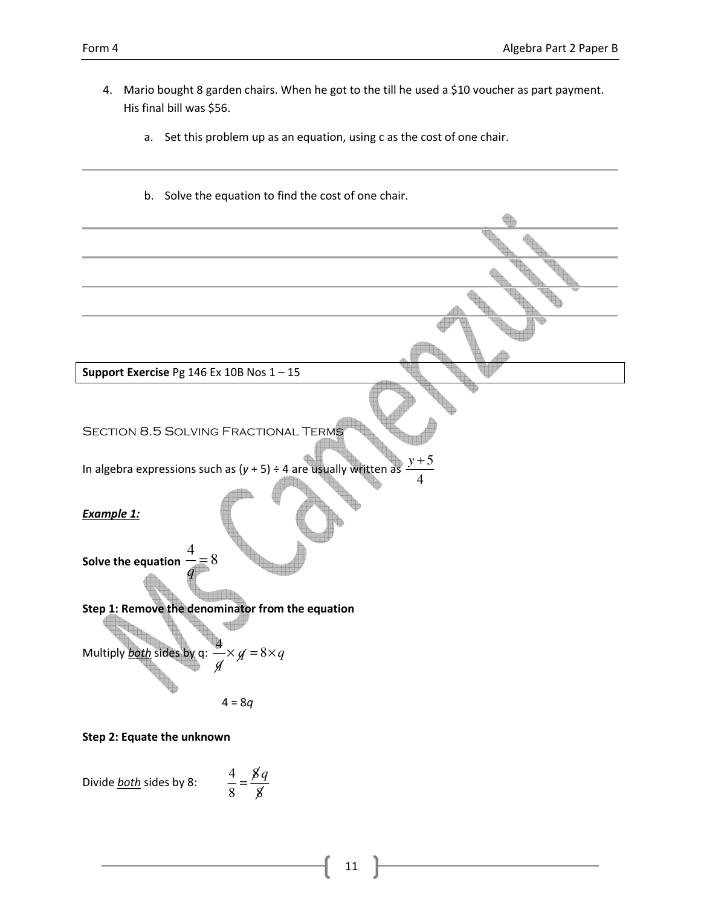- 4. Mario bought 8 garden chairs. When he got to the till he used a \$10 voucher as part payment. His final bill was \$56. a. Set this problem up as an equation, using c as the cost of one chair. b. Solve the equation to find the cost of one chair. Support Exercise Pg 146 Ex 10B Nos 1 – 15 Section 8.5 Solving Fractional Terms In algebra expressions such as  $(y + 5) \div 4$  are usually written 4 *y* + Example 1: Solve the equation 4 8 *q* = Step 1: Remove the denominator from the equation Multiply **both** sides by q: 4  $\times g = 8 \times q$ *q*  $4 = 8q$
- Step 2: Equate the unknown

Divide **both** sides by 8:

8 8  $=\frac{8q}{\gamma}$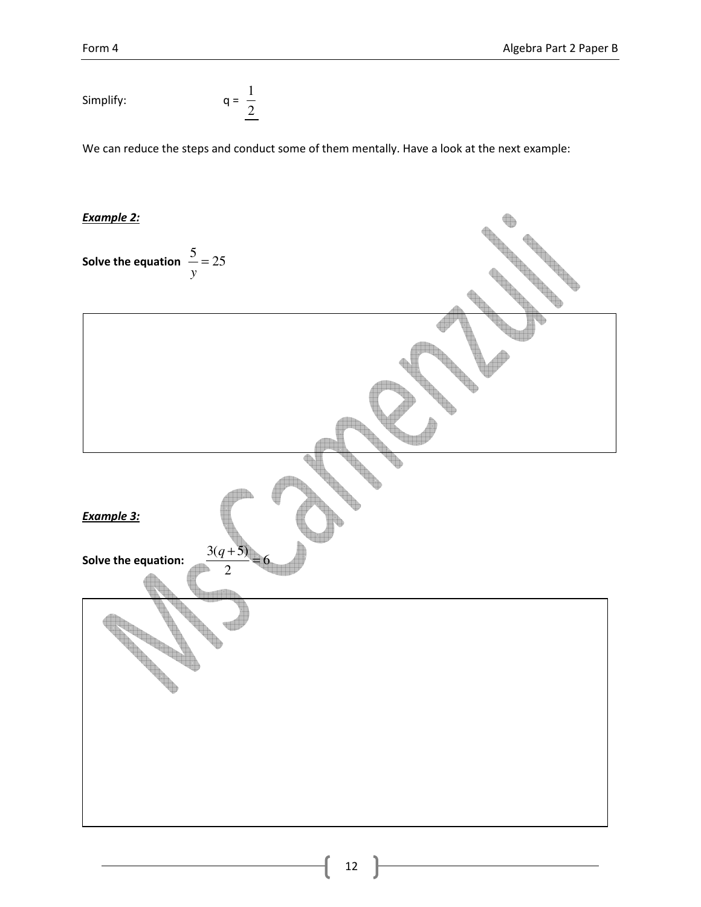Simplify: 
$$
q = \frac{1}{2}
$$

We can reduce the steps and conduct some of them mentally. Have a look at the next example:

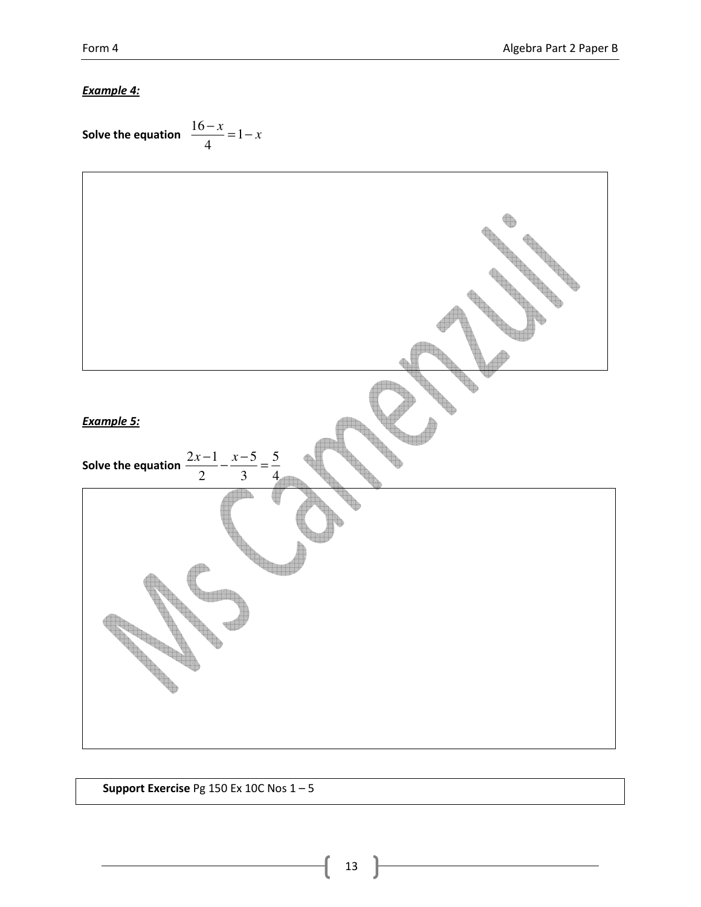### Example 4:

Solve the equation 
$$
\frac{16-x}{4} = 1-x
$$



Support Exercise Pg 150 Ex 10C Nos 1 – 5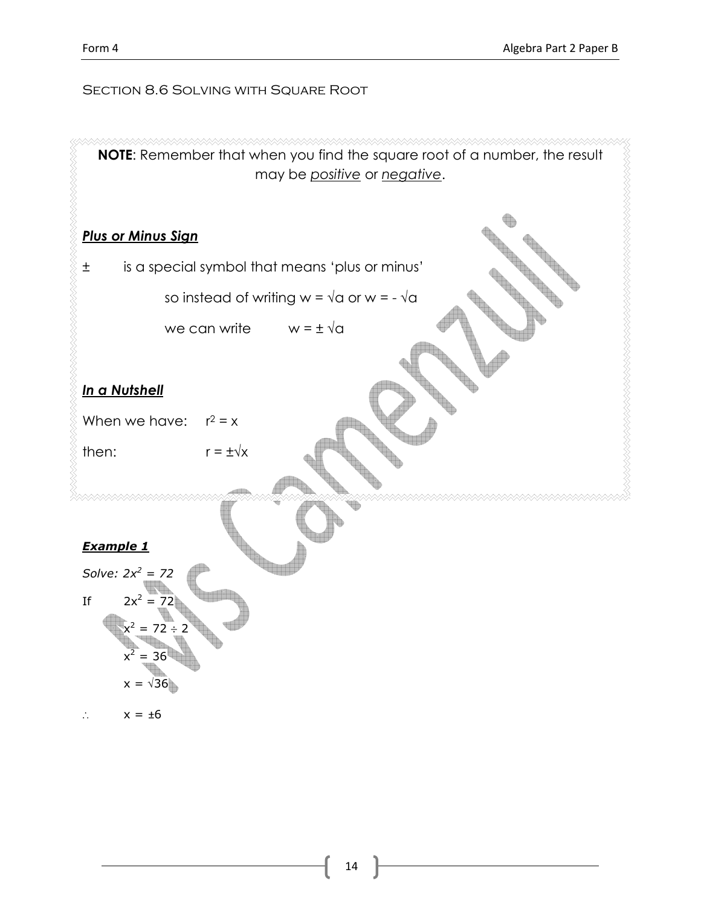### SECTION 8.6 SOLVING WITH SQUARE ROOT

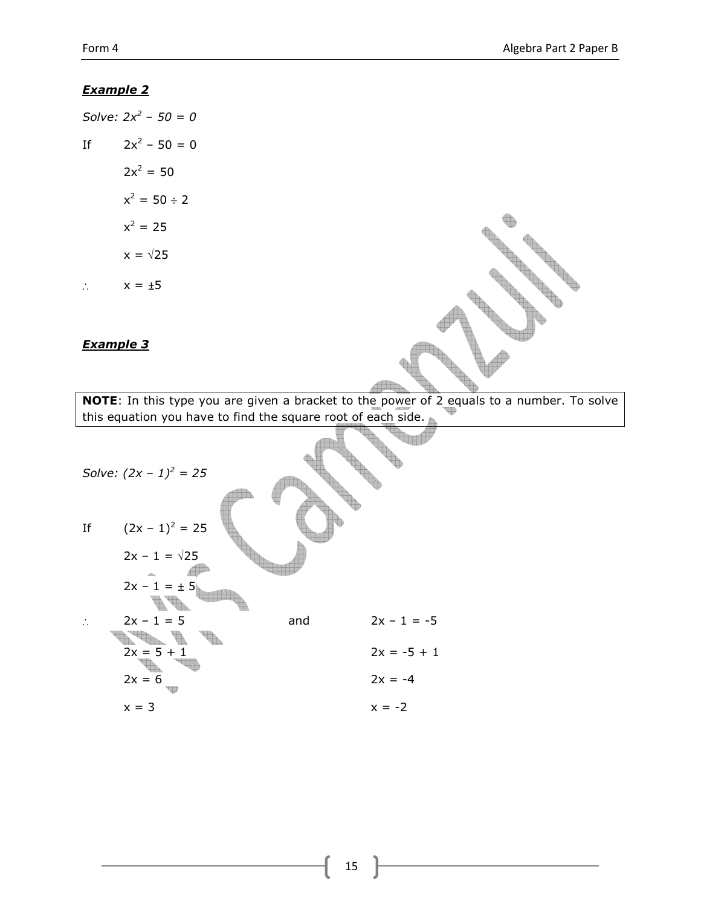### Example 2

Solve:  $2x^2 - 50 = 0$ If  $2x^2 - 50 = 0$  $2x^2 = 50$  $x^2 = 50 \div 2$  $x^2 = 25$  $x = \sqrt{25}$ ∴ x = ±5

### Example 3



NOTE: In this type you are given a bracket to the power of 2 equals to a number. To solve this equation you have to find the square root of each side.

Solve:  $(2x - 1)^2 = 25$ If  $(2x - 1)^2 = 25$  $2x - 1 = \sqrt{25}$ Æ  $2x - 1 = \pm 5$ **A.B.** ∴ 2x – 1 = 5 and 2x – 1 = -5 o a compart  $2x = 5 + 1$   $2x = -5 + 1$  $2x = 6$   $2x = -4$  $x = 3$   $x = -2$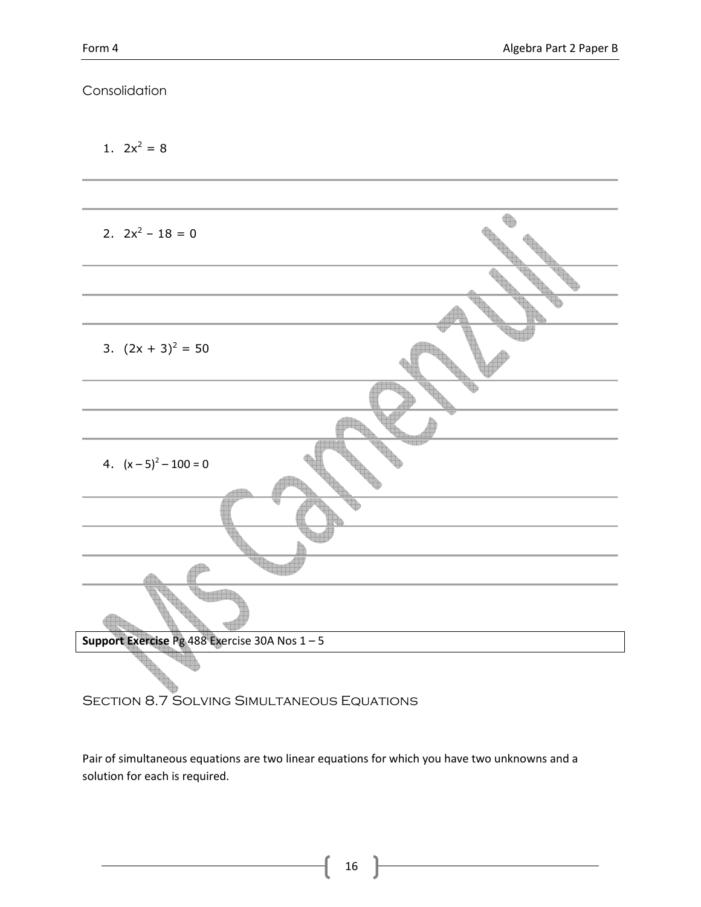## Consolidation

1.  $2x^2 = 8$ 

| 2. $2x^2 - 18 = 0$                           |
|----------------------------------------------|
|                                              |
|                                              |
| 3. $(2x + 3)^2 = 50$                         |
|                                              |
|                                              |
| 4. $(x-5)^2 - 100 = 0$                       |
|                                              |
|                                              |
|                                              |
|                                              |
| Support Exercise Pg 488 Exercise 30A Nos 1-5 |
|                                              |

SECTION 8.7 SOLVING SIMULTANEOUS EQUATIONS

Pair of simultaneous equations are two linear equations for which you have two unknowns and a solution for each is required.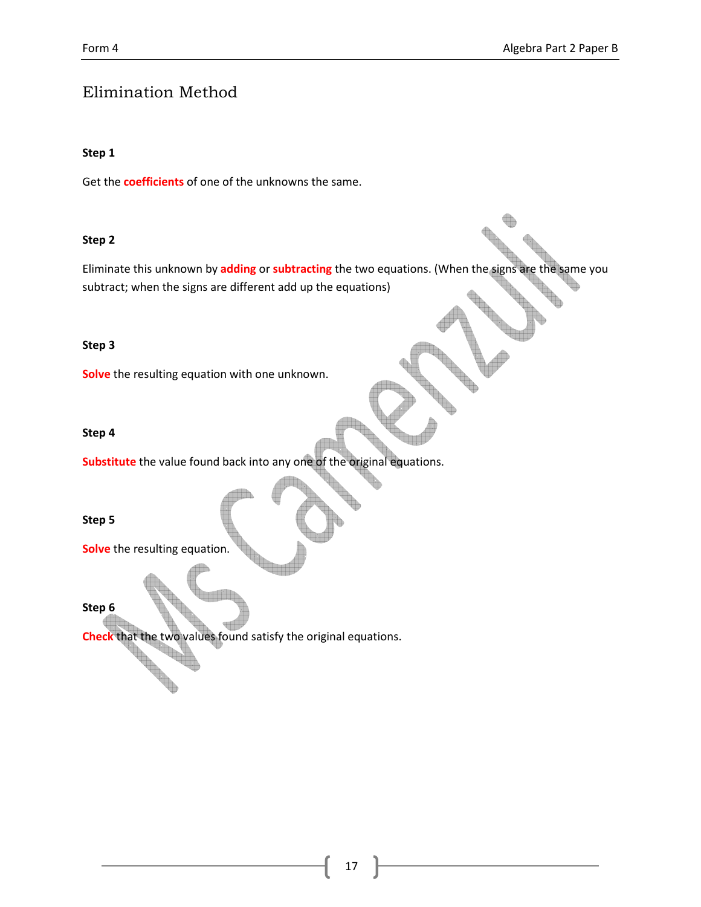# Elimination Method

#### Step 1

Get the **coefficients** of one of the unknowns the same.

#### Step 2

Eliminate this unknown by adding or subtracting the two equations. (When the signs are the same you subtract; when the signs are different add up the equations)

#### Step 3

Solve the resulting equation with one unknown.

#### Step 4

Substitute the value found back into any one of the original equations.

Step 5

Solve the resulting equation.

The Contract of the

#### Step 6

Check that the two values found satisfy the original equations.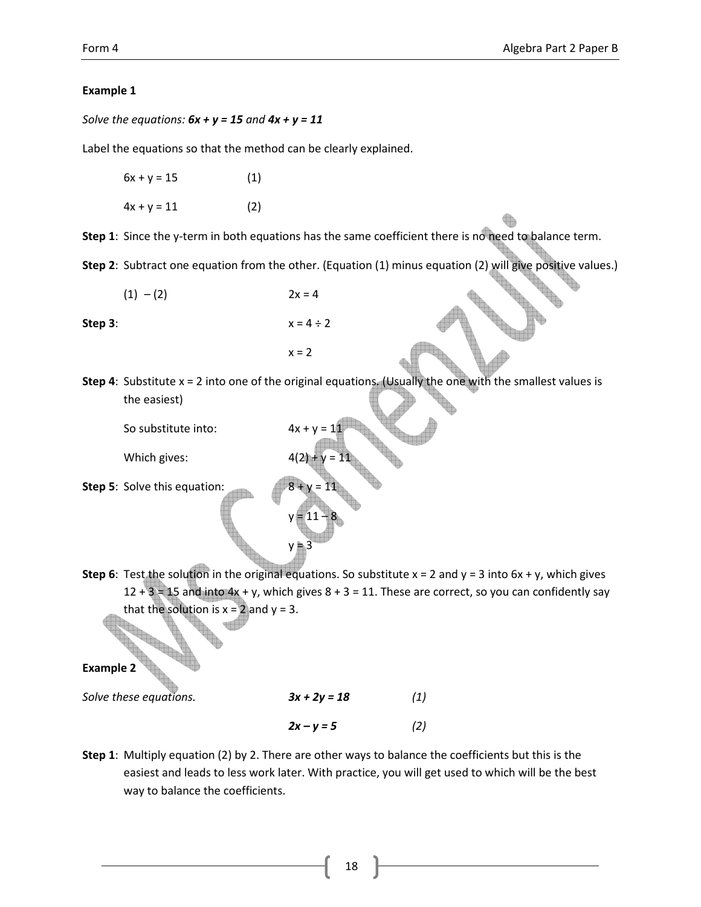### Example 1

Solve the equations:  $6x + y = 15$  and  $4x + y = 11$ 

Label the equations so that the method can be clearly explained.

 $6x + y = 15$  (1)  $4x + y = 11$  (2)

Step 1: Since the y-term in both equations has the same coefficient there is no need to balance term.

Step 2: Subtract one equation from the other. (Equation (1) minus equation (2) will give positive values.)

 $(1) - (2)$  2x = 4

 $x = 2$ 

 $y = 11 - 8$ 

 $y = 3$ 

Step 3:  $x = 4 \div 2$ 

**Step 4:** Substitute  $x = 2$  into one of the original equations. (Usually the one with the smallest values is the easiest)

So substitute into:

Which gives:

Step 5: Solve this equation:

Step 6: Test the solution in the original equations. So substitute  $x = 2$  and  $y = 3$  into  $6x + y$ , which gives  $12 + 3 = 15$  and into  $4x + y$ , which gives  $8 + 3 = 11$ . These are correct, so you can confidently say that the solution is  $x = 2$  and  $y = 3$ .

Example 2

Solve these equations.  $3x + 2y = 18$  (1)  $2x - y = 5$  (2)

Step 1: Multiply equation (2) by 2. There are other ways to balance the coefficients but this is the easiest and leads to less work later. With practice, you will get used to which will be the best way to balance the coefficients.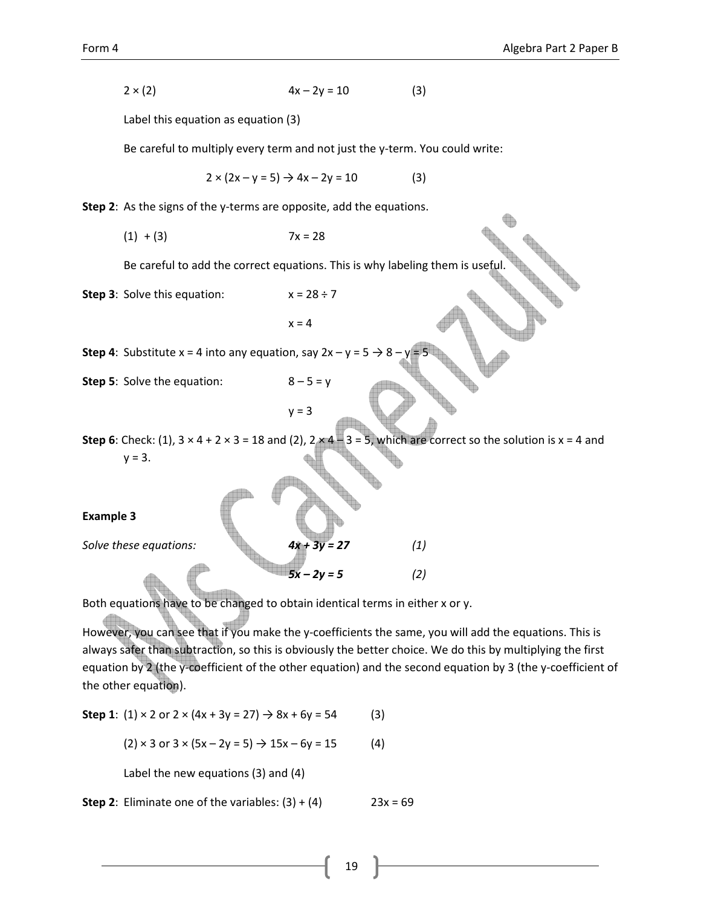$$
2 \times (2) \t\t 4x - 2y = 10 \t(3)
$$

Label this equation as equation (3)

Be careful to multiply every term and not just the y-term. You could write:

 $2 \times (2x - y = 5) \rightarrow 4x - 2y = 10$  (3)

Step 2: As the signs of the y-terms are opposite, add the equations.

 $(1) + (3)$  7x = 28

Be careful to add the correct equations. This is why labeling them is useful.

**Step 3:** Solve this equation:  $x = 28 \div 7$ 

 $x = 4$ 

**Step 4:** Substitute x = 4 into any equation, say  $2x - y = 5 \rightarrow 8$ 

**Step 5:** Solve the equation:  $8-5 = y$ 

 $y = 3$ 

Step 6: Check: (1),  $3 \times 4 + 2 \times 3 = 18$  and (2),  $2 \times 4 - 3 = 5$ , which are correct so the solution is  $x = 4$  and  $y = 3$ .

Example 3

Solve these equations:  $4x + 3y = 27$  (1)

Both equations have to be changed to obtain identical terms in either x or y.

However, you can see that if you make the y-coefficients the same, you will add the equations. This is always safer than subtraction, so this is obviously the better choice. We do this by multiplying the first equation by 2 (the y-coefficient of the other equation) and the second equation by 3 (the y-coefficient of the other equation).

 $5x - 2y = 5$  (2)

Step 1:  $(1) \times 2$  or  $2 \times (4x + 3y = 27) \rightarrow 8x + 6y = 54$  (3)

 $(2) \times 3$  or  $3 \times (5x - 2y = 5) \rightarrow 15x - 6y = 15$  (4)

Label the new equations (3) and (4)

**Step 2:** Eliminate one of the variables:  $(3) + (4)$  23x = 69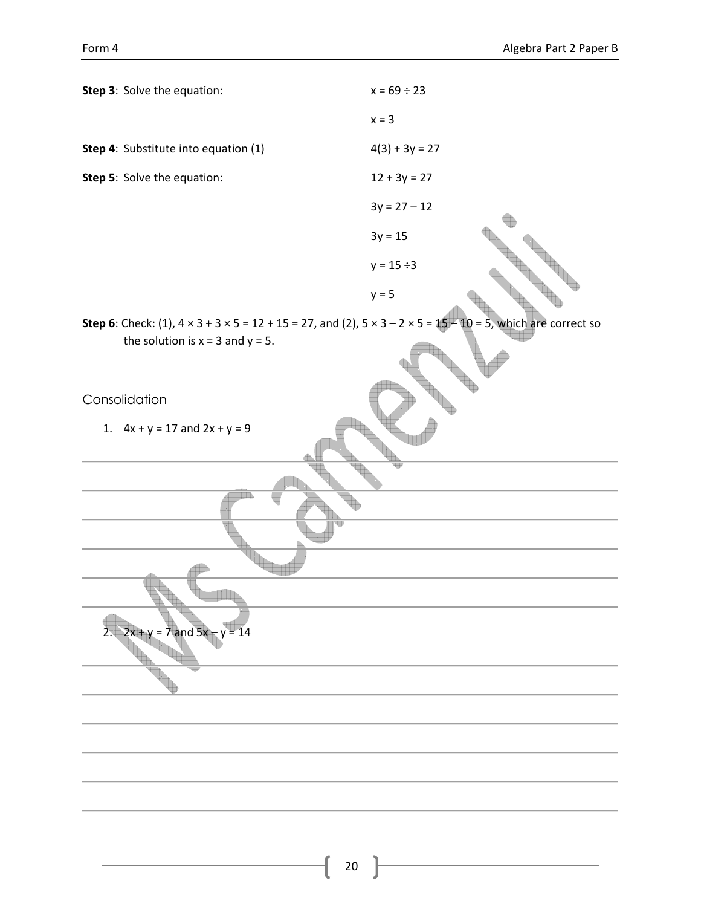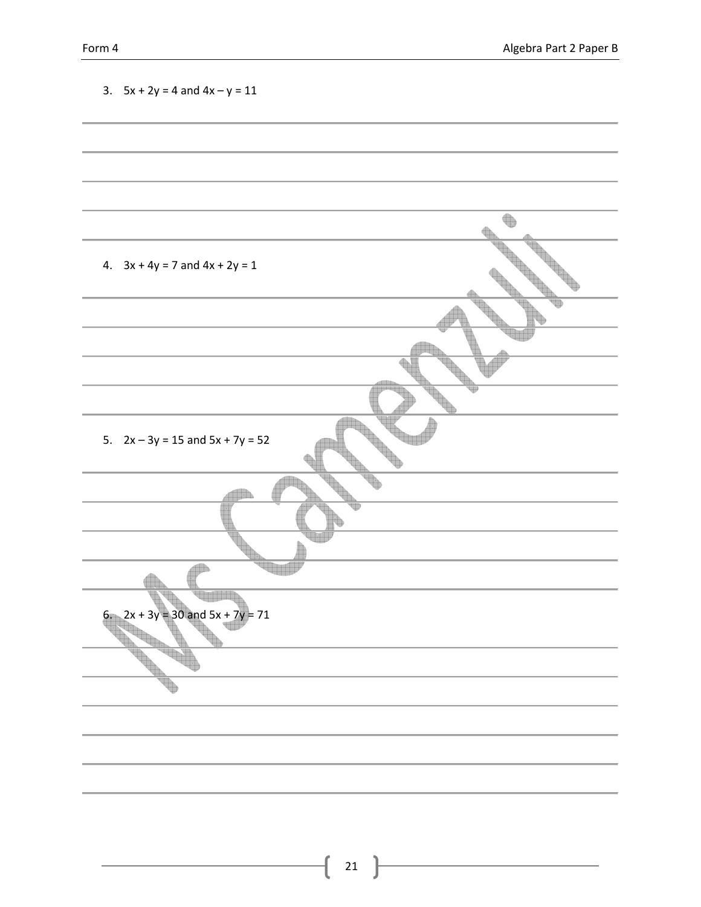| 3. $5x + 2y = 4$ and $4x - y = 11$   |  |
|--------------------------------------|--|
|                                      |  |
|                                      |  |
|                                      |  |
|                                      |  |
|                                      |  |
| 4. $3x + 4y = 7$ and $4x + 2y = 1$   |  |
|                                      |  |
|                                      |  |
|                                      |  |
|                                      |  |
|                                      |  |
|                                      |  |
| 5. $2x - 3y = 15$ and $5x + 7y = 52$ |  |
|                                      |  |
|                                      |  |
|                                      |  |
|                                      |  |
|                                      |  |
|                                      |  |
| 6. $2x + 3y = 30$ and $5x + 7y = 71$ |  |
|                                      |  |
|                                      |  |
|                                      |  |
|                                      |  |
|                                      |  |
|                                      |  |
|                                      |  |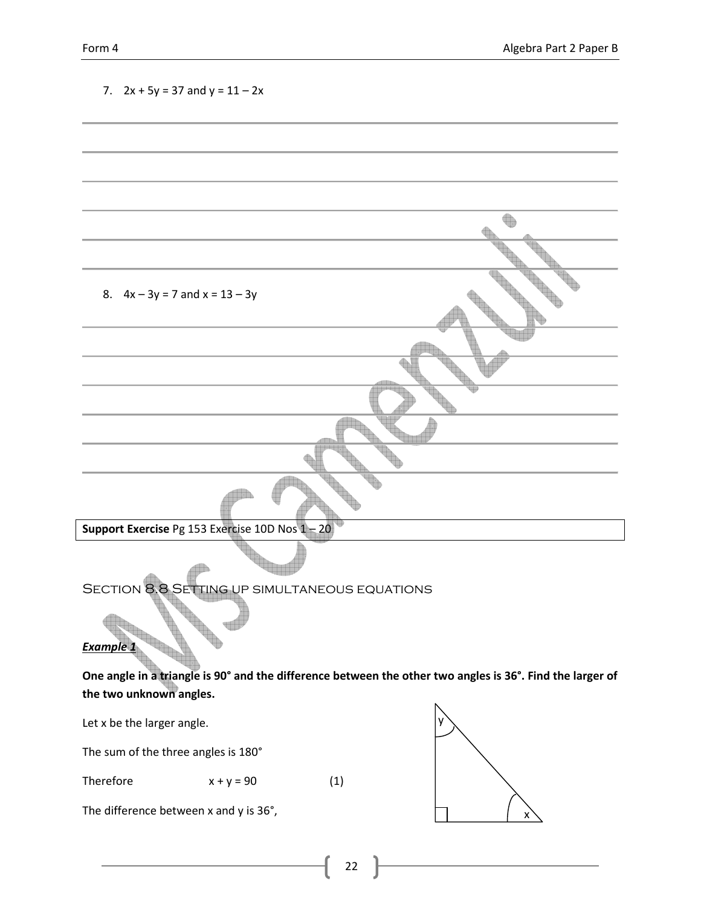| 7. $2x + 5y = 37$ and $y = 11 - 2x$                                      |              |     |                                                                                                           |
|--------------------------------------------------------------------------|--------------|-----|-----------------------------------------------------------------------------------------------------------|
|                                                                          |              |     |                                                                                                           |
|                                                                          |              |     |                                                                                                           |
|                                                                          |              |     |                                                                                                           |
|                                                                          |              |     |                                                                                                           |
|                                                                          |              |     |                                                                                                           |
|                                                                          |              |     |                                                                                                           |
| 8. $4x - 3y = 7$ and $x = 13 - 3y$                                       |              |     |                                                                                                           |
|                                                                          |              |     |                                                                                                           |
|                                                                          |              |     |                                                                                                           |
|                                                                          |              |     |                                                                                                           |
|                                                                          |              |     |                                                                                                           |
| Support Exercise Pg 153 Exercise 10D Nos 1-20                            |              |     |                                                                                                           |
|                                                                          |              |     |                                                                                                           |
| <b>SECTION 8.8 SETTING UP SIMULTANEOUS EQUATIONS</b><br><b>Example 1</b> |              |     |                                                                                                           |
|                                                                          |              |     | One angle in a triangle is 90° and the difference between the other two angles is 36°. Find the larger of |
| the two unknown angles.                                                  |              |     |                                                                                                           |
| Let x be the larger angle.                                               |              |     |                                                                                                           |
| The sum of the three angles is 180°                                      |              |     |                                                                                                           |
| Therefore                                                                | $x + y = 90$ | (1) |                                                                                                           |
| The difference between x and y is 36°,                                   |              |     | x                                                                                                         |

22  $\left\lfloor \right\rfloor$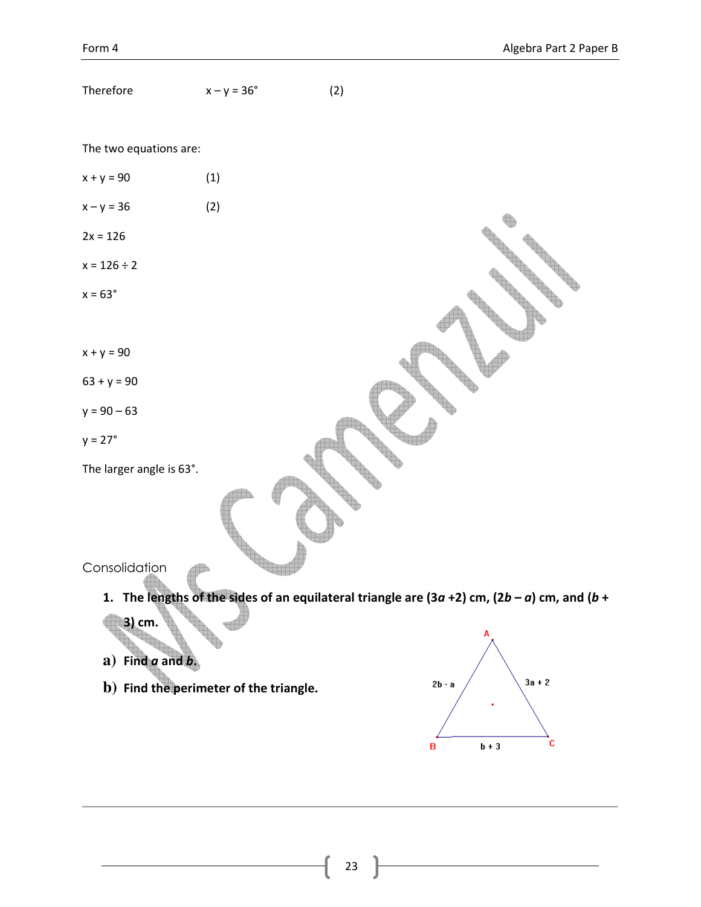$\overline{\mathbf{c}}$ 

| Therefore                              | $x - y = 36^\circ$ | (2)                                                                                            |
|----------------------------------------|--------------------|------------------------------------------------------------------------------------------------|
|                                        |                    |                                                                                                |
| The two equations are:                 |                    |                                                                                                |
| $x + y = 90$                           | (1)                |                                                                                                |
| $x - y = 36$                           | (2)                |                                                                                                |
| $2x = 126$                             |                    |                                                                                                |
| $x = 126 \div 2$                       |                    |                                                                                                |
| $x = 63^\circ$                         |                    |                                                                                                |
|                                        |                    |                                                                                                |
| $x + y = 90$                           |                    |                                                                                                |
| $63 + y = 90$                          |                    |                                                                                                |
| $y = 90 - 63$                          |                    |                                                                                                |
| $y = 27^\circ$                         |                    |                                                                                                |
| The larger angle is 63°.               |                    |                                                                                                |
|                                        |                    |                                                                                                |
|                                        |                    |                                                                                                |
| Consolidation                          |                    |                                                                                                |
| 1.                                     |                    |                                                                                                |
| 3) cm.                                 |                    | The lengths of the sides of an equilateral triangle are (3a +2) cm, (2b - a) cm, and (b +<br>A |
| $a)$ Find $a$ and $b$ .                |                    |                                                                                                |
| b) Find the perimeter of the triangle. |                    | $3a + 2$<br>$2b - a$                                                                           |

 $\mathbf{B}$ 

 $b + 3$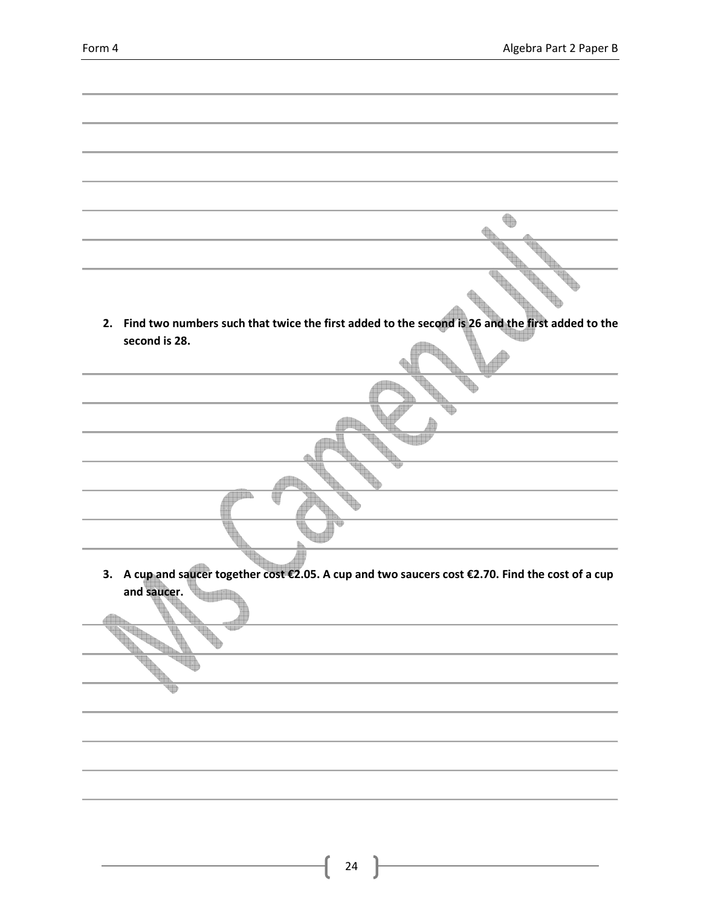| 2. Find two numbers such that twice the first added to the second is 26 and the first added to the |
|----------------------------------------------------------------------------------------------------|
| second is 28.                                                                                      |
|                                                                                                    |
|                                                                                                    |
|                                                                                                    |
|                                                                                                    |
|                                                                                                    |
|                                                                                                    |
|                                                                                                    |
|                                                                                                    |
|                                                                                                    |
|                                                                                                    |
| 3. A cup and saucer together cost €2.05. A cup and two saucers cost €2.70. Find the cost of a cup  |
| and saucer.                                                                                        |
|                                                                                                    |
|                                                                                                    |
|                                                                                                    |
|                                                                                                    |
|                                                                                                    |
|                                                                                                    |
|                                                                                                    |
|                                                                                                    |
|                                                                                                    |
|                                                                                                    |
|                                                                                                    |